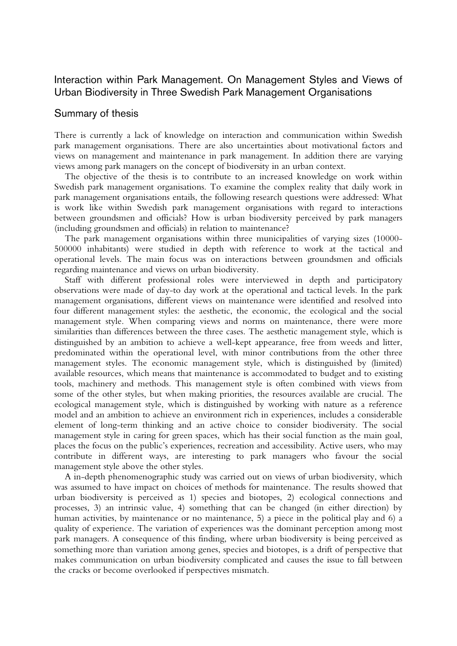## Interaction within Park Management. On Management Styles and Views of Urban Biodiversity in Three Swedish Park Management Organisations

## Summary of thesis

There is currently a lack of knowledge on interaction and communication within Swedish park management organisations. There are also uncertainties about motivational factors and views on management and maintenance in park management. In addition there are varying views among park managers on the concept of biodiversity in an urban context.

The objective of the thesis is to contribute to an increased knowledge on work within Swedish park management organisations. To examine the complex reality that daily work in park management organisations entails, the following research questions were addressed: What is work like within Swedish park management organisations with regard to interactions between groundsmen and officials? How is urban biodiversity perceived by park managers (including groundsmen and officials) in relation to maintenance?

The park management organisations within three municipalities of varying sizes (10000- 500000 inhabitants) were studied in depth with reference to work at the tactical and operational levels. The main focus was on interactions between groundsmen and officials regarding maintenance and views on urban biodiversity.

Staff with different professional roles were interviewed in depth and participatory observations were made of day-to day work at the operational and tactical levels. In the park management organisations, different views on maintenance were identified and resolved into four different management styles: the aesthetic, the economic, the ecological and the social management style. When comparing views and norms on maintenance, there were more similarities than differences between the three cases. The aesthetic management style, which is distinguished by an ambition to achieve a well-kept appearance, free from weeds and litter, predominated within the operational level, with minor contributions from the other three management styles. The economic management style, which is distinguished by (limited) available resources, which means that maintenance is accommodated to budget and to existing tools, machinery and methods. This management style is often combined with views from some of the other styles, but when making priorities, the resources available are crucial. The ecological management style, which is distinguished by working with nature as a reference model and an ambition to achieve an environment rich in experiences, includes a considerable element of long-term thinking and an active choice to consider biodiversity. The social management style in caring for green spaces, which has their social function as the main goal, places the focus on the public's experiences, recreation and accessibility. Active users, who may contribute in different ways, are interesting to park managers who favour the social management style above the other styles.

A in-depth phenomenographic study was carried out on views of urban biodiversity, which was assumed to have impact on choices of methods for maintenance. The results showed that urban biodiversity is perceived as 1) species and biotopes, 2) ecological connections and processes, 3) an intrinsic value, 4) something that can be changed (in either direction) by human activities, by maintenance or no maintenance, 5) a piece in the political play and 6) a quality of experience. The variation of experiences was the dominant perception among most park managers. A consequence of this finding, where urban biodiversity is being perceived as something more than variation among genes, species and biotopes, is a drift of perspective that makes communication on urban biodiversity complicated and causes the issue to fall between the cracks or become overlooked if perspectives mismatch.